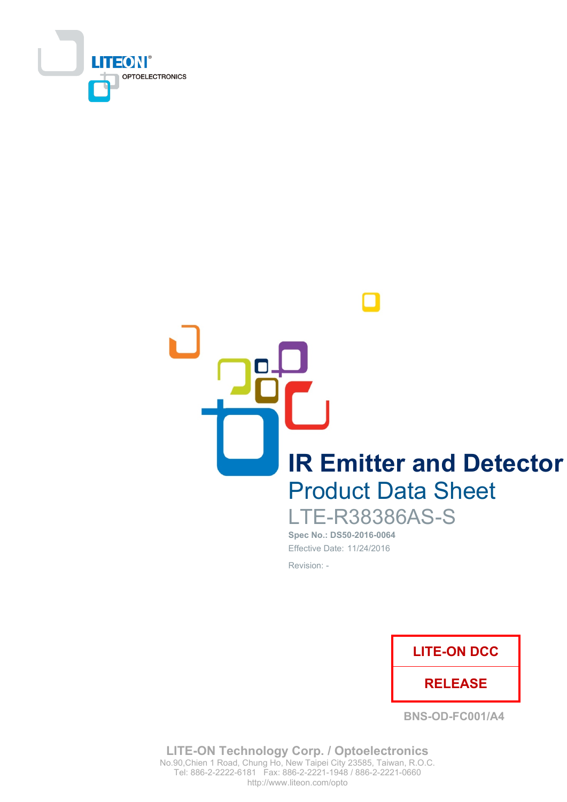

**IR Emitter and Detector Product Data Sheet LTE-R38386AS-S** 

Spec No.: DS50-2016-0064 Effective Date: 11/24/2016 Revision: -



**BNS-OD-FC001/A4** 

**LITE-ON Technology Corp. / Optoelectronics** No.90, Chien 1 Road, Chung Ho, New Taipei City 23585, Taiwan, R.O.C. Tel: 886-2-2222-6181 Fax: 886-2-2221-1948 / 886-2-2221-0660 http://www.liteon.com/opto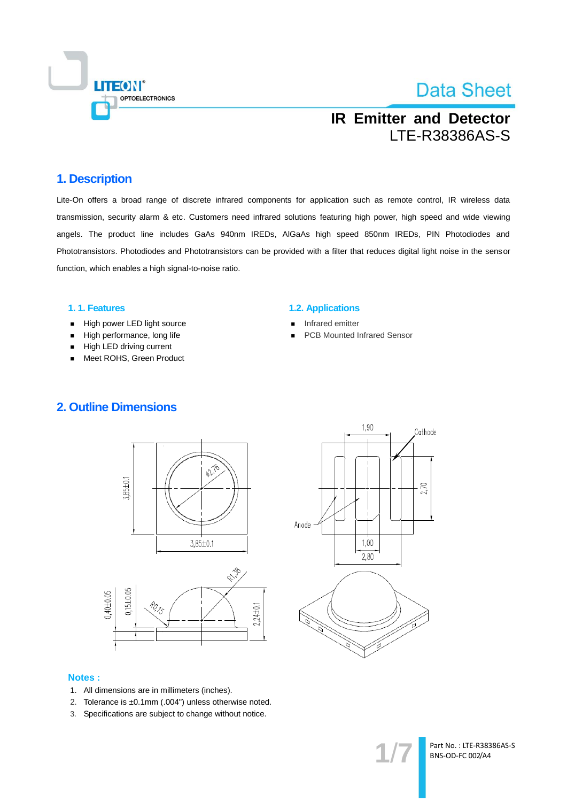

## **IR Emitter and Detector LTE-R38386AS-S**

### 1. Description

Lite-On offers a broad range of discrete infrared components for application such as remote control, IR wireless data transmission, security alarm & etc. Customers need infrared solutions featuring high power, high speed and wide viewing angels. The product line includes GaAs 940nm IREDs, AIGaAs high speed 850nm IREDs, PIN Photodiodes and Phototransistors. Photodiodes and Phototransistors can be provided with a filter that reduces digital light noise in the sensor function, which enables a high signal-to-noise ratio.

#### 1.1. Features

- High power LED light source  $\blacksquare$
- High performance, long life  $\blacksquare$
- High LED driving current
- Meet ROHS, Green Product

#### **1.2. Applications**

- Infrared emitter
- **PCB Mounted Infrared Sensor**







#### **Notes:**

- 1. All dimensions are in millimeters (inches).
- 2. Tolerance is ±0.1mm (.004") unless otherwise noted.
- 3. Specifications are subject to change without notice.

Part No.: LTE-R38386AS-S BNS-OD-FC 002/A4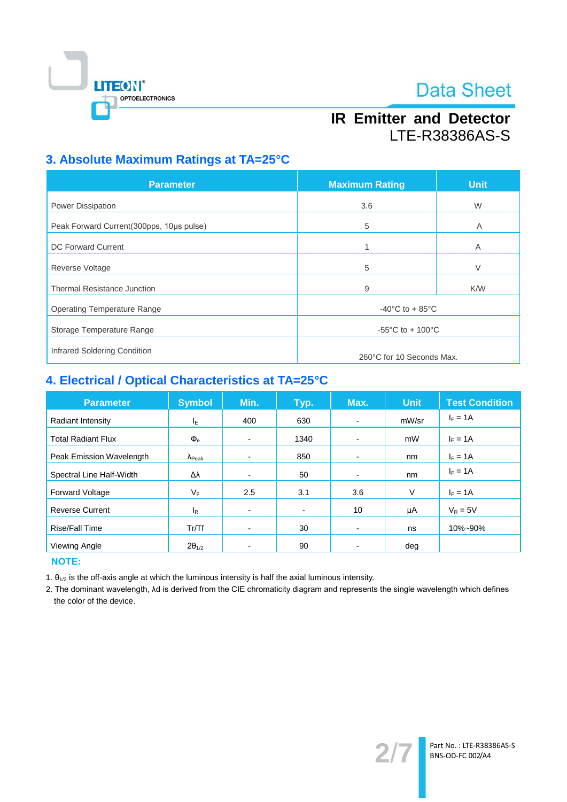

## **IR Emitter and Detector** LTE-R38386AS-S

### 3. Absolute Maximum Ratings at TA=25°C

| <b>Parameter</b>                          | <b>Maximum Rating</b>                 | <b>Unit</b> |  |
|-------------------------------------------|---------------------------------------|-------------|--|
| Power Dissipation                         | 3.6                                   | W           |  |
| Peak Forward Current (300pps, 10us pulse) | 5                                     | A           |  |
| <b>DC Forward Current</b>                 | 1                                     | A           |  |
| <b>Reverse Voltage</b>                    | 5                                     | $\vee$      |  |
| <b>Thermal Resistance Junction</b>        | 9                                     | K/W         |  |
| <b>Operating Temperature Range</b>        | $-40^{\circ}$ C to + 85 $^{\circ}$ C  |             |  |
| Storage Temperature Range                 | $-55^{\circ}$ C to + 100 $^{\circ}$ C |             |  |
| Infrared Soldering Condition              |                                       |             |  |
|                                           | 260°C for 10 Seconds Max.             |             |  |

### 4. Electrical / Optical Characteristics at TA=25°C

| <b>Parameter</b>          | <b>Symbol</b>           | Min. | Typ.                         | Max.                     | <b>Unit</b> | <b>Test Condition</b> |
|---------------------------|-------------------------|------|------------------------------|--------------------------|-------------|-----------------------|
| Radiant Intensity         | ΙE                      | 400  | 630                          | $\blacksquare$           | mW/sr       | $I_F = 1A$            |
| <b>Total Radiant Flux</b> | $\Phi_{\rm e}$          | ٠    | 1340                         | $\blacksquare$           | mW          | $I_F = 1A$            |
| Peak Emission Wavelength  | $\Lambda_{\text{Peak}}$ | -    | 850                          | $\overline{\phantom{0}}$ | nm          | $I_F = 1A$            |
| Spectral Line Half-Width  | Δλ                      | -    | 50                           |                          | nm          | $I_F = 1A$            |
| Forward Voltage           | VF                      | 2.5  | 3.1                          | 3.6                      | $\vee$      | $I_F = 1A$            |
| <b>Reverse Current</b>    | l <sub>R</sub>          | -    | $\qquad \qquad \blacksquare$ | 10                       | μA          | $V_R = 5V$            |
| Rise/Fall Time            | Tr/Tf                   | -    | 30                           | $\overline{\phantom{0}}$ | ns          | 10%~90%               |
| Viewing Angle             | $2\theta_{1/2}$         |      | 90                           |                          | deg         |                       |

**NOTE:** 

1.  $\theta_{1/2}$  is the off-axis angle at which the luminous intensity is half the axial luminous intensity.

2. The dominant wavelength, Ad is derived from the CIE chromaticity diagram and represents the single wavelength which defines the color of the device.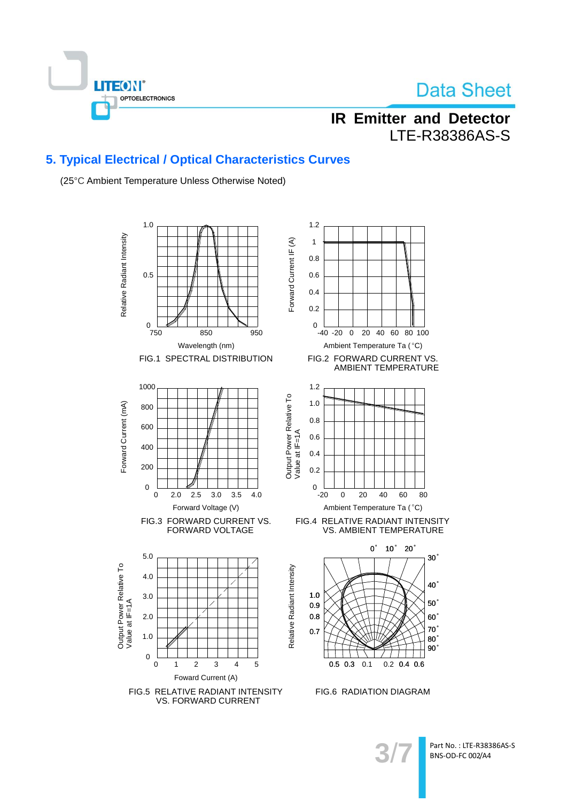

## **IR Emitter and Detector LTE-R38386AS-S**

### 5. Typical Electrical / Optical Characteristics Curves

(25°C Ambient Temperature Unless Otherwise Noted)



Part No.: LTE-R38386AS-S BNS-OD-FC 002/A4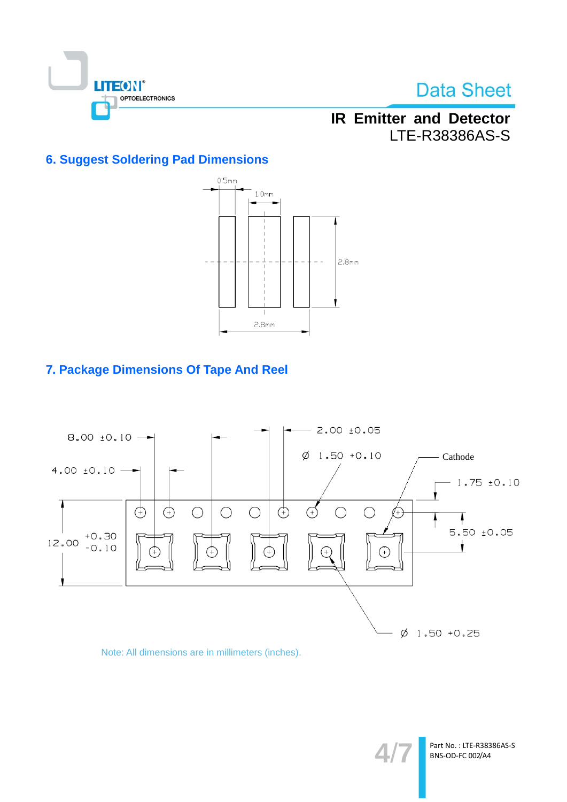

## **IR Emitter and Detector** LTE-R38386AS-S

### **6. Suggest Soldering Pad Dimensions**



### 7. Package Dimensions Of Tape And Reel



### Note: All dimensions are in millimeters (inches).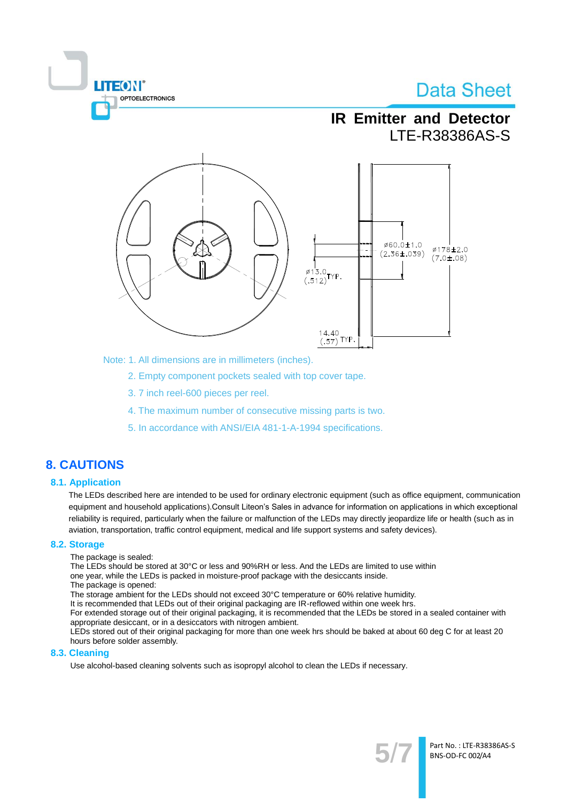

Note: 1. All dimensions are in millimeters (inches).

2. Empty component pockets sealed with top cover tape.

- 3.7 inch reel-600 pieces per reel.
- 4. The maximum number of consecutive missing parts is two.
- 5. In accordance with ANSI/EIA 481-1-A-1994 specifications.

### **8. CAUTIONS**

#### **8.1. Application**

The LEDs described here are intended to be used for ordinary electronic equipment (such as office equipment, communication equipment and household applications). Consult Liteon's Sales in advance for information on applications in which exceptional reliability is required, particularly when the failure or malfunction of the LEDs may directly jeopardize life or health (such as in aviation, transportation, traffic control equipment, medical and life support systems and safety devices).

#### 8.2. Storage

The package is sealed:

**TEON** 

OPTOELECTRONICS

The LEDs should be stored at 30°C or less and 90%RH or less. And the LEDs are limited to use within one year, while the LEDs is packed in moisture-proof package with the desiccants inside.

The package is opened:

The storage ambient for the LEDs should not exceed 30°C temperature or 60% relative humidity.

It is recommended that LEDs out of their original packaging are IR-reflowed within one week hrs.

For extended storage out of their original packaging, it is recommended that the LEDs be stored in a sealed container with appropriate desiccant, or in a desiccators with nitrogen ambient.

LEDs stored out of their original packaging for more than one week hrs should be baked at about 60 deg C for at least 20 hours before solder assembly.

#### 8.3. Cleaning

Use alcohol-based cleaning solvents such as isopropyl alcohol to clean the LEDs if necessary.

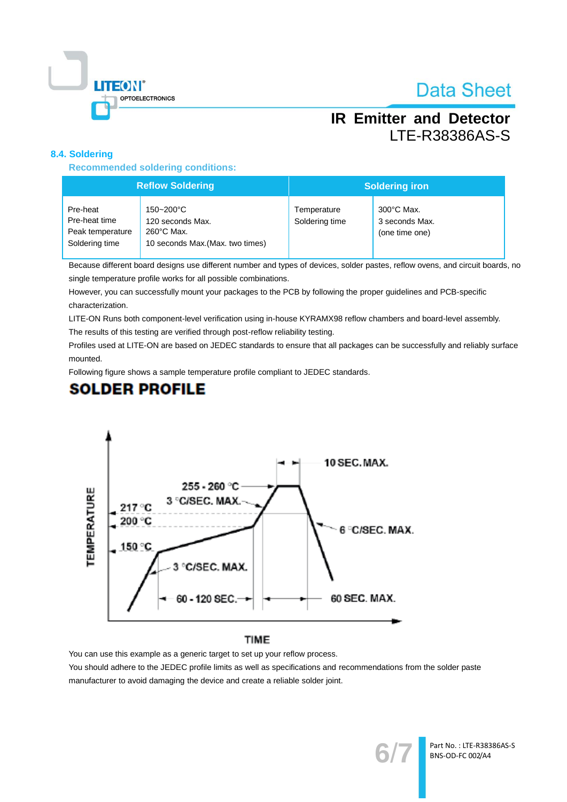

## **IR Emitter and Detector LTE-R38386AS-S**

### 8.4. Soldering

**Recommended soldering conditions:** 

| <b>Reflow Soldering</b>                                         |                                                                                           | <b>Soldering iron</b>         |                                                          |  |
|-----------------------------------------------------------------|-------------------------------------------------------------------------------------------|-------------------------------|----------------------------------------------------------|--|
| Pre-heat<br>Pre-heat time<br>Peak temperature<br>Soldering time | 150~200°C<br>120 seconds Max.<br>$260^{\circ}$ C Max.<br>10 seconds Max. (Max. two times) | Temperature<br>Soldering time | $300^{\circ}$ C Max.<br>3 seconds Max.<br>(one time one) |  |

Because different board designs use different number and types of devices, solder pastes, reflow ovens, and circuit boards, no single temperature profile works for all possible combinations.

However, you can successfully mount your packages to the PCB by following the proper guidelines and PCB-specific characterization.

LITE-ON Runs both component-level verification using in-house KYRAMX98 reflow chambers and board-level assembly.

The results of this testing are verified through post-reflow reliability testing.

Profiles used at LITE-ON are based on JEDEC standards to ensure that all packages can be successfully and reliably surface mounted.

Following figure shows a sample temperature profile compliant to JEDEC standards.

### **SOLDER PROFILE**



### **TIME**

You can use this example as a generic target to set up your reflow process.

You should adhere to the JEDEC profile limits as well as specifications and recommendations from the solder paste manufacturer to avoid damaging the device and create a reliable solder joint.